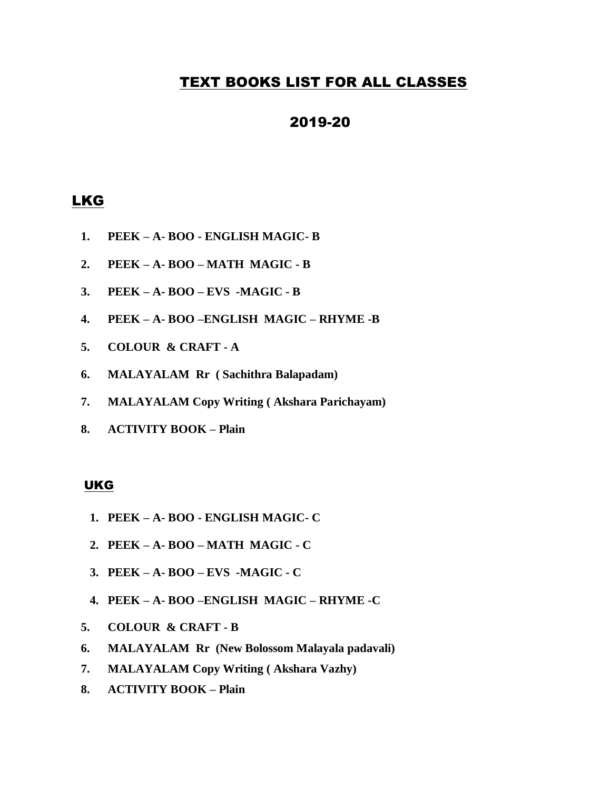# TEXT BOOKS LIST FOR ALL CLASSES

# 2019-20

# LKG

- **1. PEEK – A- BOO - ENGLISH MAGIC- B**
- **2. PEEK – A- BOO – MATH MAGIC - B**
- **3. PEEK – A- BOO – EVS -MAGIC - B**
- **4. PEEK – A- BOO –ENGLISH MAGIC – RHYME -B**
- **5. COLOUR & CRAFT - A**
- **6. MALAYALAM Rr ( Sachithra Balapadam)**
- **7. MALAYALAM Copy Writing ( Akshara Parichayam)**
- **8. ACTIVITY BOOK – Plain**

#### UKG

- **1. PEEK – A- BOO - ENGLISH MAGIC- C**
- **2. PEEK – A- BOO – MATH MAGIC - C**
- **3. PEEK – A- BOO – EVS -MAGIC - C**
- **4. PEEK – A- BOO –ENGLISH MAGIC – RHYME -C**
- **5. COLOUR & CRAFT - B**
- **6. MALAYALAM Rr (New Bolossom Malayala padavali)**
- **7. MALAYALAM Copy Writing ( Akshara Vazhy)**
- **8. ACTIVITY BOOK – Plain**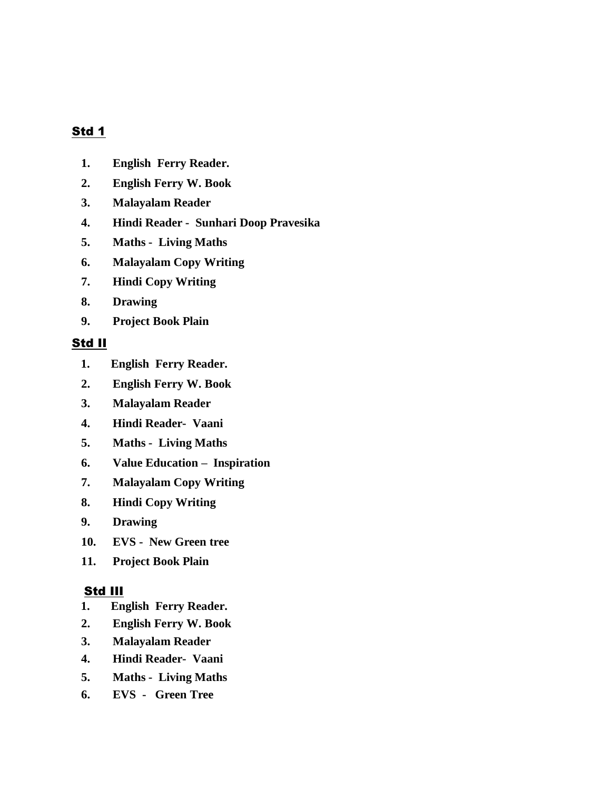# Std 1

- **1. English Ferry Reader.**
- **2. English Ferry W. Book**
- **3. Malayalam Reader**
- **4. Hindi Reader Sunhari Doop Pravesika**
- **5. Maths Living Maths**
- **6. Malayalam Copy Writing**
- **7. Hindi Copy Writing**
- **8. Drawing**
- **9. Project Book Plain**

## Std II

- **1. English Ferry Reader.**
- **2. English Ferry W. Book**
- **3. Malayalam Reader**
- **4. Hindi Reader- Vaani**
- **5. Maths Living Maths**
- **6. Value Education Inspiration**
- **7. Malayalam Copy Writing**
- **8. Hindi Copy Writing**
- **9. Drawing**
- **10. EVS New Green tree**
- **11. Project Book Plain**

## Std III

- **1. English Ferry Reader.**
- **2. English Ferry W. Book**
- **3. Malayalam Reader**
- **4. Hindi Reader- Vaani**
- **5. Maths Living Maths**
- **6. EVS Green Tree**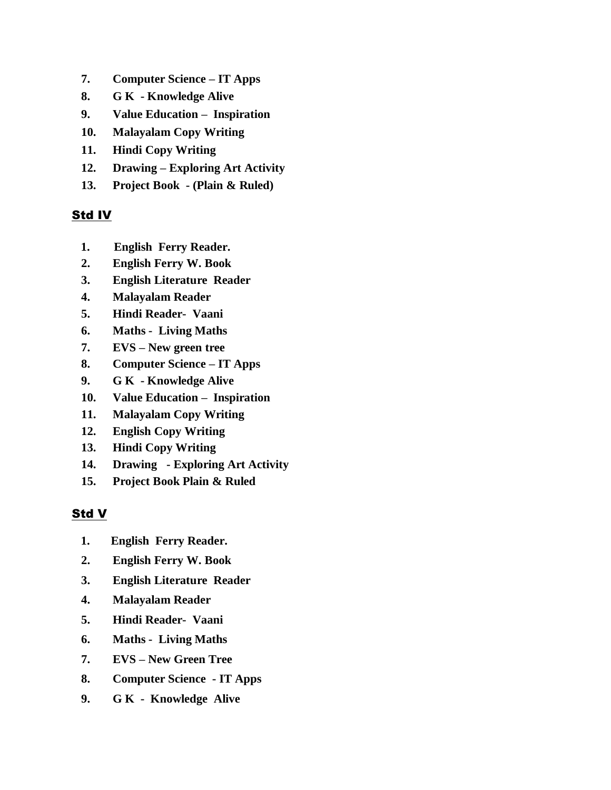- **7. Computer Science – IT Apps**
- **8. G K - Knowledge Alive**
- **9. Value Education Inspiration**
- **10. Malayalam Copy Writing**
- **11. Hindi Copy Writing**
- **12. Drawing – Exploring Art Activity**
- **13. Project Book - (Plain & Ruled)**

# Std IV

- **1. English Ferry Reader.**
- **2. English Ferry W. Book**
- **3. English Literature Reader**
- **4. Malayalam Reader**
- **5. Hindi Reader- Vaani**
- **6. Maths Living Maths**
- **7. EVS – New green tree**
- **8. Computer Science – IT Apps**
- **9. G K - Knowledge Alive**
- **10. Value Education Inspiration**
- **11. Malayalam Copy Writing**
- **12. English Copy Writing**
- **13. Hindi Copy Writing**
- **14. Drawing - Exploring Art Activity**
- **15. Project Book Plain & Ruled**

# Std V

- **1. English Ferry Reader.**
- **2. English Ferry W. Book**
- **3. English Literature Reader**
- **4. Malayalam Reader**
- **5. Hindi Reader- Vaani**
- **6. Maths Living Maths**
- **7. EVS – New Green Tree**
- **8. Computer Science - IT Apps**
- **9. G K Knowledge Alive**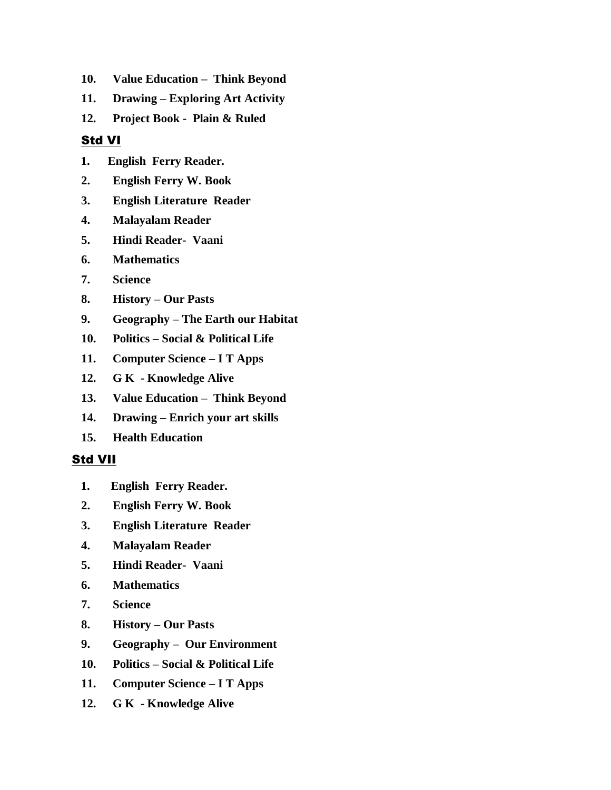- **10. Value Education Think Beyond**
- **11. Drawing – Exploring Art Activity**
- **12. Project Book Plain & Ruled**

# Std VI

- **1. English Ferry Reader.**
- **2. English Ferry W. Book**
- **3. English Literature Reader**
- **4. Malayalam Reader**
- **5. Hindi Reader- Vaani**
- **6. Mathematics**
- **7. Science**
- **8. History – Our Pasts**
- **9. Geography – The Earth our Habitat**
- **10. Politics – Social & Political Life**
- **11. Computer Science – I T Apps**
- **12. G K - Knowledge Alive**
- **13. Value Education Think Beyond**
- **14. Drawing – Enrich your art skills**
- **15. Health Education**

## Std VII

- **1. English Ferry Reader.**
- **2. English Ferry W. Book**
- **3. English Literature Reader**
- **4. Malayalam Reader**
- **5. Hindi Reader- Vaani**
- **6. Mathematics**
- **7. Science**
- **8. History – Our Pasts**
- **9. Geography Our Environment**
- **10. Politics – Social & Political Life**
- **11. Computer Science – I T Apps**
- **12. G K - Knowledge Alive**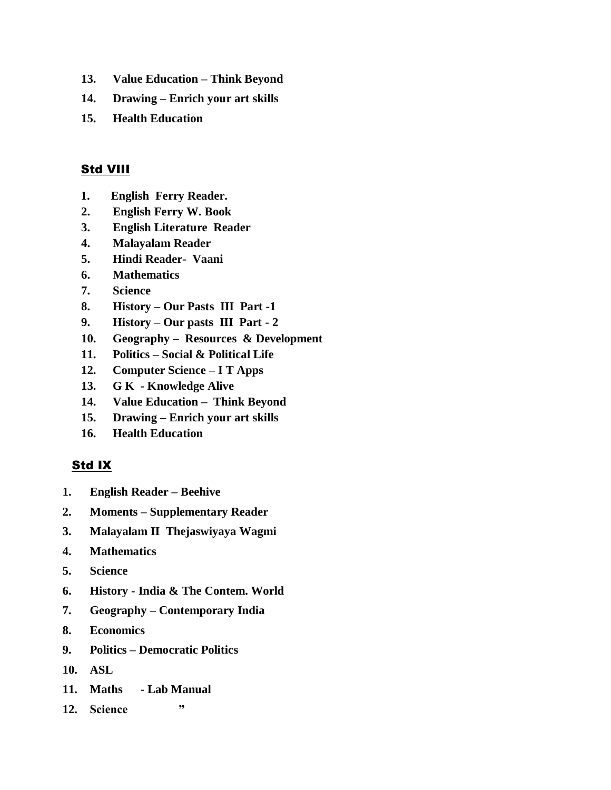- **13. Value Education – Think Beyond**
- **14. Drawing – Enrich your art skills**
- **15. Health Education**

# **Std VIII**

- **1. English Ferry Reader.**
- **2. English Ferry W. Book**
- **3. English Literature Reader**
- **4. Malayalam Reader**
- **5. Hindi Reader- Vaani**
- **6. Mathematics**
- **7. Science**
- **8. History – Our Pasts III Part -1**
- **9. History – Our pasts III Part - 2**
- **10. Geography Resources & Development**
- **11. Politics – Social & Political Life**
- **12. Computer Science – I T Apps**
- **13. G K - Knowledge Alive**
- **14. Value Education Think Beyond**
- **15. Drawing – Enrich your art skills**
- **16. Health Education**

# Std IX

- **1. English Reader – Beehive**
- **2. Moments – Supplementary Reader**
- **3. Malayalam II Thejaswiyaya Wagmi**
- **4. Mathematics**
- **5. Science**
- **6. History - India & The Contem. World**
- **7. Geography – Contemporary India**
- **8. Economics**
- **9. Politics – Democratic Politics**
- **10. ASL**
- **11. Maths - Lab Manual**
- **12. Science "**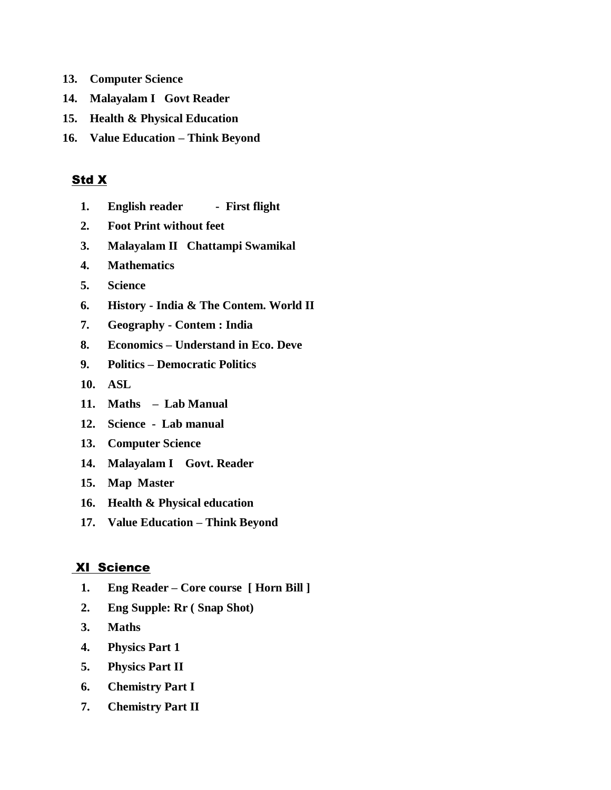- **13. Computer Science**
- **14. Malayalam I Govt Reader**
- **15. Health & Physical Education**
- **16. Value Education – Think Beyond**

#### Std X

- **1. English reader First flight**
- **2. Foot Print without feet**
- **3. Malayalam II Chattampi Swamikal**
- **4. Mathematics**
- **5. Science**
- **6. History - India & The Contem. World II**
- **7. Geography - Contem : India**
- **8. Economics – Understand in Eco. Deve**
- **9. Politics – Democratic Politics**
- **10. ASL**
- **11. Maths Lab Manual**
- **12. Science Lab manual**
- **13. Computer Science**
- **14. Malayalam I Govt. Reader**
- **15. Map Master**
- **16. Health & Physical education**
- **17. Value Education – Think Beyond**

#### XI Science

- **1. Eng Reader – Core course [ Horn Bill ]**
- **2. Eng Supple: Rr ( Snap Shot)**
- **3. Maths**
- **4. Physics Part 1**
- **5. Physics Part II**
- **6. Chemistry Part I**
- **7. Chemistry Part II**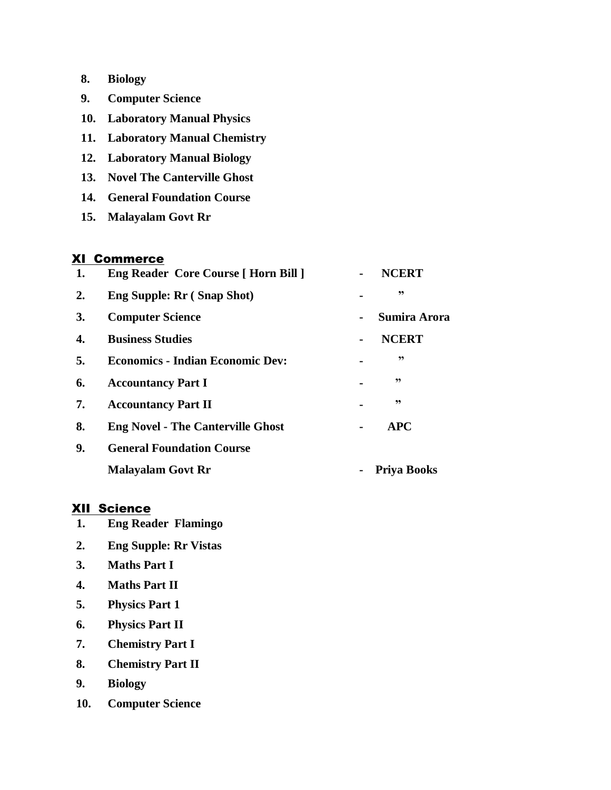| 8. | <b>Biology</b> |
|----|----------------|
|----|----------------|

- **9. Computer Science**
- **10. Laboratory Manual Physics**
- **11. Laboratory Manual Chemistry**
- **12. Laboratory Manual Biology**
- **13. Novel The Canterville Ghost**
- **14. General Foundation Course**
- **15. Malayalam Govt Rr**

#### XI Commerce

| 1. | <b>Eng Reader Core Course [ Horn Bill ]</b> |  | <b>NCERT</b>        |
|----|---------------------------------------------|--|---------------------|
| 2. | <b>Eng Supple: Rr (Snap Shot)</b>           |  | ,,                  |
| 3. | <b>Computer Science</b>                     |  | <b>Sumira Arora</b> |
| 4. | <b>Business Studies</b>                     |  | <b>NCERT</b>        |
| 5. | <b>Economics - Indian Economic Dev:</b>     |  | ,,                  |
| 6. | <b>Accountancy Part I</b>                   |  | ,,                  |
| 7. | <b>Accountancy Part II</b>                  |  | ,,                  |
| 8. | <b>Eng Novel - The Canterville Ghost</b>    |  | <b>APC</b>          |
| 9. | <b>General Foundation Course</b>            |  |                     |
|    | <b>Malayalam Govt Rr</b>                    |  | <b>Priva Books</b>  |

### XII Science

- **1. Eng Reader Flamingo**
- **2. Eng Supple: Rr Vistas**
- **3. Maths Part I**
- **4. Maths Part II**
- **5. Physics Part 1**
- **6. Physics Part II**
- **7. Chemistry Part I**
- **8. Chemistry Part II**
- **9. Biology**
- **10. Computer Science**